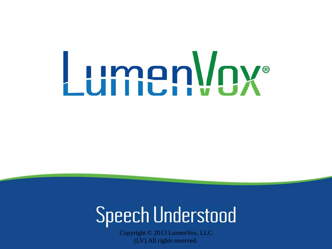# LumenVox®

## **Speech Understood**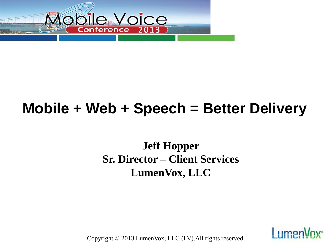

## **Mobile + Web + Speech = Better Delivery**

#### **Jeff Hopper Sr. Director – Client Services LumenVox, LLC**

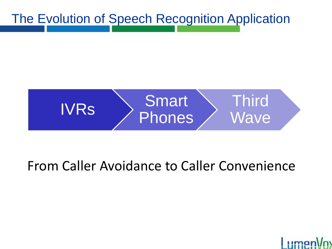The Evolution of Speech Recognition Application



#### From Caller Avoidance to Caller Convenience

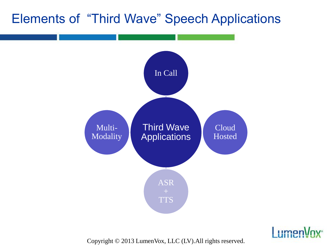#### Elements of "Third Wave" Speech Applications



**Lumen**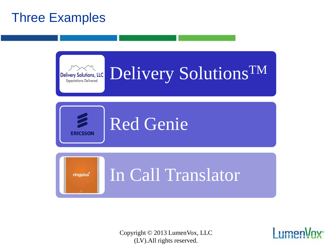#### Three Examples



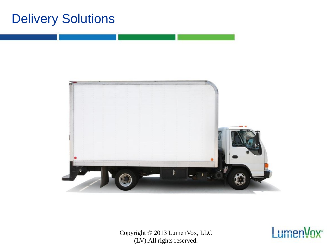#### Delivery Solutions



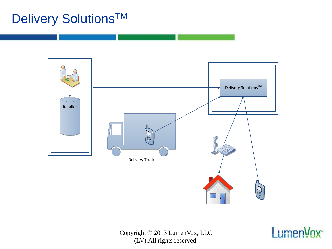### Delivery Solutions<sup>™</sup>



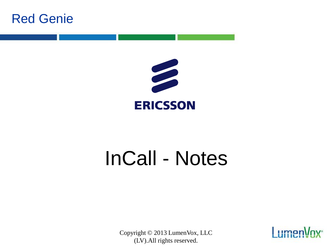



## InCall - Notes

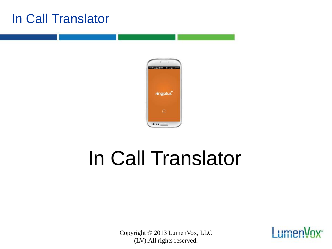#### In Call Translator



# In Call Translator

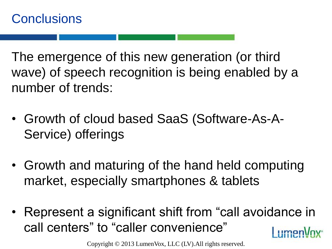The emergence of this new generation (or third wave) of speech recognition is being enabled by a number of trends:

- Growth of cloud based SaaS (Software-As-A-Service) offerings
- Growth and maturing of the hand held computing market, especially smartphones & tablets
- Represent a significant shift from "call avoidance in call centers" to "caller convenience" limon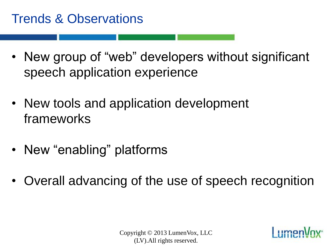#### Trends & Observations

- New group of "web" developers without significant speech application experience
- New tools and application development frameworks
- New "enabling" platforms
- Overall advancing of the use of speech recognition

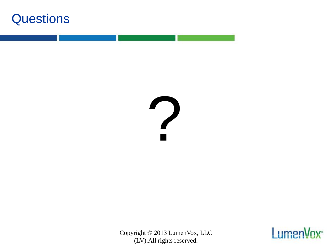

?